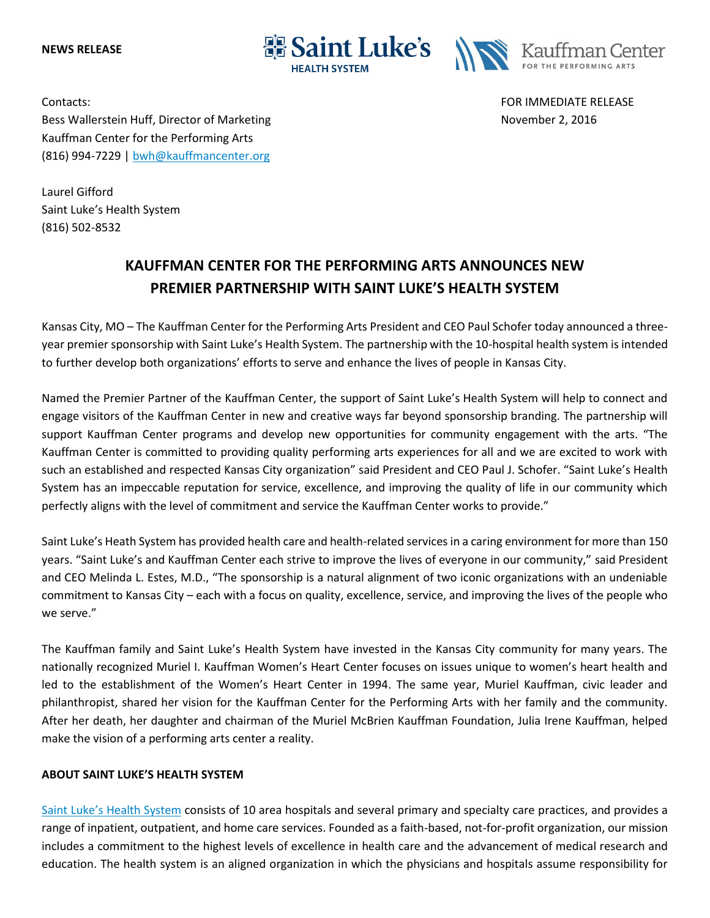**NEWS RELEASE**





Contacts: FOR IMMEDIATE RELEASE Bess Wallerstein Huff, Director of Marketing November 2, 2016 Kauffman Center for the Performing Arts (816) 994-7229 | [bwh@kauffmancenter.org](mailto:bwh@kauffmancenter.org)

Laurel Gifford Saint Luke's Health System (816) 502-8532

## **KAUFFMAN CENTER FOR THE PERFORMING ARTS ANNOUNCES NEW PREMIER PARTNERSHIP WITH SAINT LUKE'S HEALTH SYSTEM**

Kansas City, MO – The Kauffman Center for the Performing Arts President and CEO Paul Schofer today announced a threeyear premier sponsorship with Saint Luke's Health System. The partnership with the 10-hospital health system is intended to further develop both organizations' efforts to serve and enhance the lives of people in Kansas City.

Named the Premier Partner of the Kauffman Center, the support of Saint Luke's Health System will help to connect and engage visitors of the Kauffman Center in new and creative ways far beyond sponsorship branding. The partnership will support Kauffman Center programs and develop new opportunities for community engagement with the arts. "The Kauffman Center is committed to providing quality performing arts experiences for all and we are excited to work with such an established and respected Kansas City organization" said President and CEO Paul J. Schofer. "Saint Luke's Health System has an impeccable reputation for service, excellence, and improving the quality of life in our community which perfectly aligns with the level of commitment and service the Kauffman Center works to provide."

Saint Luke's Heath System has provided health care and health-related services in a caring environment for more than 150 years. "Saint Luke's and Kauffman Center each strive to improve the lives of everyone in our community," said President and CEO Melinda L. Estes, M.D., "The sponsorship is a natural alignment of two iconic organizations with an undeniable commitment to Kansas City – each with a focus on quality, excellence, service, and improving the lives of the people who we serve."

The Kauffman family and Saint Luke's Health System have invested in the Kansas City community for many years. The nationally recognized Muriel I. Kauffman Women's Heart Center focuses on issues unique to women's heart health and led to the establishment of the Women's Heart Center in 1994. The same year, Muriel Kauffman, civic leader and philanthropist, shared her vision for the Kauffman Center for the Performing Arts with her family and the community. After her death, her daughter and chairman of the Muriel McBrien Kauffman Foundation, Julia Irene Kauffman, helped make the vision of a performing arts center a reality.

## **ABOUT SAINT LUKE'S HEALTH SYSTEM**

[Saint Luke's Health System](https://www.saintlukeshealthsystem.org/about-saint-lukes-health-system?utm_source=wordfly&utm_medium=email&utm_campaign=Release%3ASt.Luke%27sSponsorship&utm_content=version_A&sourceNumber=) consists of 10 area hospitals and several primary and specialty care practices, and provides a range of inpatient, outpatient, and home care services. Founded as a faith-based, not-for-profit organization, our mission includes a commitment to the highest levels of excellence in health care and the advancement of medical research and education. The health system is an aligned organization in which the physicians and hospitals assume responsibility for